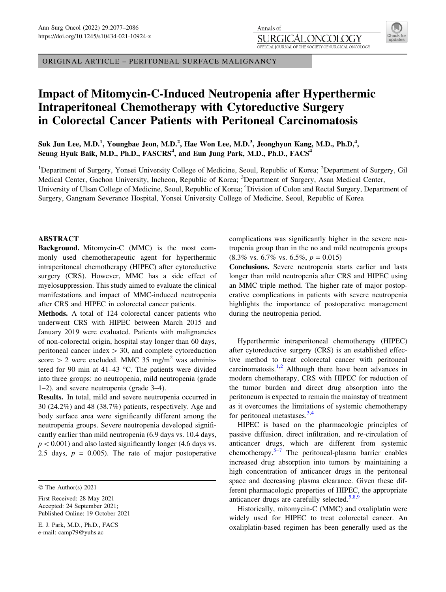# Impact of Mitomycin-C-Induced Neutropenia after Hyperthermic Intraperitoneal Chemotherapy with Cytoreductive Surgery in Colorectal Cancer Patients with Peritoneal Carcinomatosis

Annals of JRGI

OFFICIAL IOURNAL OF THE

Suk Jun Lee, M.D.<sup>1</sup>, Youngbae Jeon, M.D.<sup>2</sup>, Hae Won Lee, M.D.<sup>3</sup>, Jeonghyun Kang, M.D., Ph.D,<sup>4</sup>, Seung Hyuk Baik, M.D., Ph.D., FASCRS<sup>4</sup>, and Eun Jung Park, M.D., Ph.D., FACS<sup>4</sup>

<sup>1</sup>Department of Surgery, Yonsei University College of Medicine, Seoul, Republic of Korea; <sup>2</sup>Department of Surgery, Gil Medical Center, Gachon University, Incheon, Republic of Korea; <sup>3</sup>Department of Surgery, Asan Medical Center, University of Ulsan College of Medicine, Seoul, Republic of Korea; <sup>4</sup>Division of Colon and Rectal Surgery, Department of Surgery, Gangnam Severance Hospital, Yonsei University College of Medicine, Seoul, Republic of Korea

## ABSTRACT

Background. Mitomycin-C (MMC) is the most commonly used chemotherapeutic agent for hyperthermic intraperitoneal chemotherapy (HIPEC) after cytoreductive surgery (CRS). However, MMC has a side effect of myelosuppression. This study aimed to evaluate the clinical manifestations and impact of MMC-induced neutropenia after CRS and HIPEC in colorectal cancer patients.

Methods. A total of 124 colorectal cancer patients who underwent CRS with HIPEC between March 2015 and January 2019 were evaluated. Patients with malignancies of non-colorectal origin, hospital stay longer than 60 days, peritoneal cancer index  $> 30$ , and complete cytoreduction score  $> 2$  were excluded. MMC 35 mg/m<sup>2</sup> was administered for 90 min at 41–43  $^{\circ}$ C. The patients were divided into three groups: no neutropenia, mild neutropenia (grade 1–2), and severe neutropenia (grade 3–4).

Results. In total, mild and severe neutropenia occurred in 30 (24.2%) and 48 (38.7%) patients, respectively. Age and body surface area were significantly different among the neutropenia groups. Severe neutropenia developed significantly earlier than mild neutropenia (6.9 days vs. 10.4 days,  $p < 0.001$ ) and also lasted significantly longer (4.6 days vs. 2.5 days,  $p = 0.005$ . The rate of major postoperative

E. J. Park, M.D., Ph.D., FACS e-mail: camp79@yuhs.ac

complications was significantly higher in the severe neutropenia group than in the no and mild neutropenia groups  $(8.3\% \text{ vs. } 6.7\% \text{ vs. } 6.5\%, p = 0.015)$ 

Conclusions. Severe neutropenia starts earlier and lasts longer than mild neutropenia after CRS and HIPEC using an MMC triple method. The higher rate of major postoperative complications in patients with severe neutropenia highlights the importance of postoperative management during the neutropenia period.

Hyperthermic intraperitoneal chemotherapy (HIPEC) after cytoreductive surgery (CRS) is an established effective method to treat colorectal cancer with peritoneal carcinomatosis. $1,2$  Although there have been advances in modern chemotherapy, CRS with HIPEC for reduction of the tumor burden and direct drug absorption into the peritoneum is expected to remain the mainstay of treatment as it overcomes the limitations of systemic chemotherapy for peritoneal metastases. $3,4$ 

HIPEC is based on the pharmacologic principles of passive diffusion, direct infiltration, and re-circulation of anticancer drugs, which are different from systemic chemotherapy.<sup>[5](#page-8-0)–[7](#page-8-0)</sup> The peritoneal-plasma barrier enables increased drug absorption into tumors by maintaining a high concentration of anticancer drugs in the peritoneal space and decreasing plasma clearance. Given these different pharmacologic properties of HIPEC, the appropriate anticancer drugs are carefully selected. $5,8,9$ 

Historically, mitomycin-C (MMC) and oxaliplatin were widely used for HIPEC to treat colorectal cancer. An oxaliplatin-based regimen has been generally used as the

L X TY

SOCIETY OF SURGICAL ONCOLOGY

The Author(s) 2021

First Received: 28 May 2021 Accepted: 24 September 2021; Published Online: 19 October 2021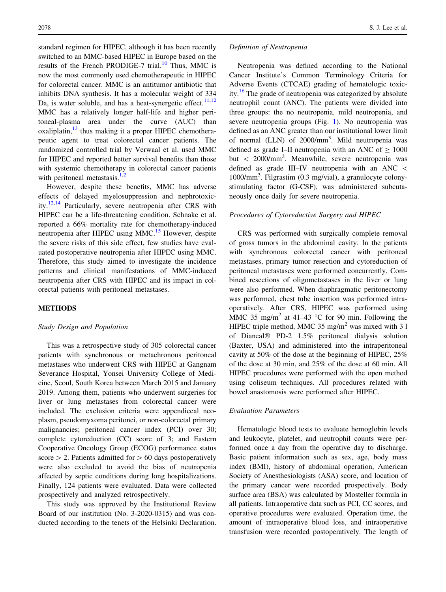standard regimen for HIPEC, although it has been recently switched to an MMC-based HIPEC in Europe based on the results of the French PRODIGE-7 trial. $10$  Thus, MMC is now the most commonly used chemotherapeutic in HIPEC for colorectal cancer. MMC is an antitumor antibiotic that inhibits DNA synthesis. It has a molecular weight of 334 Da, is water soluble, and has a heat-synergetic effect.<sup>[11,12](#page-8-0)</sup> MMC has a relatively longer half-life and higher peritoneal-plasma area under the curve (AUC) than oxaliplatin, $13$  thus making it a proper HIPEC chemotherapeutic agent to treat colorectal cancer patients. The randomized controlled trial by Verwaal et al. used MMC for HIPEC and reported better survival benefits than those with systemic chemotherapy in colorectal cancer patients with peritoneal metastasis. $1,2$ 

However, despite these benefits, MMC has adverse effects of delayed myelosuppression and nephrotoxic-ity.<sup>[12,14](#page-8-0)</sup> Particularly, severe neutropenia after CRS with HIPEC can be a life-threatening condition. Schnake et al. reported a 66% mortality rate for chemotherapy-induced neutropenia after HIPEC using MMC.<sup>[15](#page-8-0)</sup> However, despite the severe risks of this side effect, few studies have evaluated postoperative neutropenia after HIPEC using MMC. Therefore, this study aimed to investigate the incidence patterns and clinical manifestations of MMC-induced neutropenia after CRS with HIPEC and its impact in colorectal patients with peritoneal metastases.

#### METHODS

#### Study Design and Population

This was a retrospective study of 305 colorectal cancer patients with synchronous or metachronous peritoneal metastases who underwent CRS with HIPEC at Gangnam Severance Hospital, Yonsei University College of Medicine, Seoul, South Korea between March 2015 and January 2019. Among them, patients who underwent surgeries for liver or lung metastases from colorectal cancer were included. The exclusion criteria were appendiceal neoplasm, pseudomyxoma peritonei, or non-colorectal primary malignancies; peritoneal cancer index (PCI) over 30; complete cytoreduction (CC) score of 3; and Eastern Cooperative Oncology Group (ECOG) performance status score  $> 2$ . Patients admitted for  $> 60$  days postoperatively were also excluded to avoid the bias of neutropenia affected by septic conditions during long hospitalizations. Finally, 124 patients were evaluated. Data were collected prospectively and analyzed retrospectively.

This study was approved by the Institutional Review Board of our institution (No. 3-2020-0315) and was conducted according to the tenets of the Helsinki Declaration.

#### Definition of Neutropenia

Neutropenia was defined according to the National Cancer Institute's Common Terminology Criteria for Adverse Events (CTCAE) grading of hematologic toxicity.[16](#page-8-0) The grade of neutropenia was categorized by absolute neutrophil count (ANC). The patients were divided into three groups: the no neutropenia, mild neutropenia, and severe neutropenia groups (Fig. [1](#page-2-0)). No neutropenia was defined as an ANC greater than our institutional lower limit of normal (LLN) of 2000/mm<sup>3</sup>. Mild neutropenia was defined as grade I–II neutropenia with an ANC of  $> 1000$ but < 2000/mm<sup>3</sup>. Meanwhile, severe neutropenia was defined as grade III–IV neutropenia with an ANC \ 1000/mm<sup>3</sup> . Filgrastim (0.3 mg/vial), a granulocyte colonystimulating factor (G-CSF), was administered subcutaneously once daily for severe neutropenia.

#### Procedures of Cytoreductive Surgery and HIPEC

CRS was performed with surgically complete removal of gross tumors in the abdominal cavity. In the patients with synchronous colorectal cancer with peritoneal metastases, primary tumor resection and cytoreduction of peritoneal metastases were performed concurrently. Combined resections of oligometastases in the liver or lung were also performed. When diaphragmatic peritonectomy was performed, chest tube insertion was performed intraoperatively. After CRS, HIPEC was performed using MMC 35 mg/m<sup>2</sup> at 41–43 °C for 90 min. Following the HIPEC triple method, MMC  $35 \text{ mg/m}^2$  was mixed with  $31$ of Dianeal® PD-2 1.5% peritoneal dialysis solution (Baxter, USA) and administered into the intraperitoneal cavity at 50% of the dose at the beginning of HIPEC, 25% of the dose at 30 min, and 25% of the dose at 60 min. All HIPEC procedures were performed with the open method using coliseum techniques. All procedures related with bowel anastomosis were performed after HIPEC.

#### Evaluation Parameters

Hematologic blood tests to evaluate hemoglobin levels and leukocyte, platelet, and neutrophil counts were performed once a day from the operative day to discharge. Basic patient information such as sex, age, body mass index (BMI), history of abdominal operation, American Society of Anesthesiologists (ASA) score, and location of the primary cancer were recorded prospectively. Body surface area (BSA) was calculated by Mosteller formula in all patients. Intraoperative data such as PCI, CC scores, and operative procedures were evaluated. Operation time, the amount of intraoperative blood loss, and intraoperative transfusion were recorded postoperatively. The length of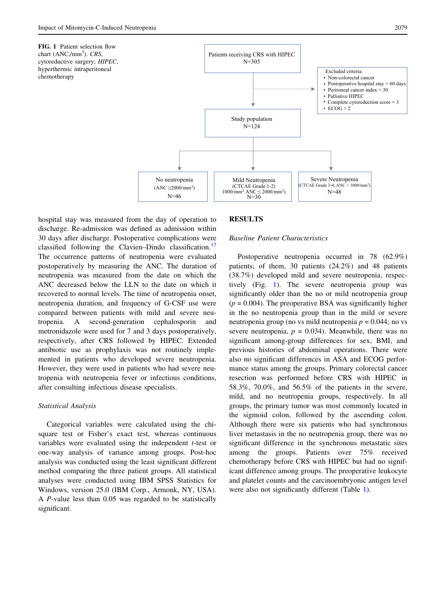

<span id="page-2-0"></span>

hospital stay was measured from the day of operation to discharge. Re-admission was defined as admission within 30 days after discharge. Postoperative complications were classified following the Clavien–Dindo classification.<sup>[17](#page-8-0)</sup> The occurrence patterns of neutropenia were evaluated postoperatively by measuring the ANC. The duration of neutropenia was measured from the date on which the ANC decreased below the LLN to the date on which it recovered to normal levels. The time of neutropenia onset, neutropenia duration, and frequency of G-CSF use were compared between patients with mild and severe neutropenia. A second-generation cephalosporin and metronidazole were used for 7 and 3 days postoperatively, respectively, after CRS followed by HIPEC. Extended antibiotic use as prophylaxis was not routinely implemented in patients who developed severe neutropenia. However, they were used in patients who had severe neutropenia with neutropenia fever or infectious conditions, after consulting infectious disease specialists.

#### Statistical Analysis

Categorical variables were calculated using the chisquare test or Fisher's exact test, whereas continuous variables were evaluated using the independent *t*-test or one-way analysis of variance among groups. Post-hoc analysis was conducted using the least significant different method comparing the three patient groups. All statistical analyses were conducted using IBM SPSS Statistics for Windows, version 25.0 (IBM Corp., Armonk, NY, USA). A P-value less than 0.05 was regarded to be statistically significant.

## **RESULTS**

## Baseline Patient Characteristics

Postoperative neutropenia occurred in 78 (62.9%) patients; of them, 30 patients (24.2%) and 48 patients (38.7%) developed mild and severe neutropenia, respectively (Fig. 1). The severe neutropenia group was significantly older than the no or mild neutropenia group  $(p = 0.004)$ . The preoperative BSA was significantly higher in the no neutropenia group than in the mild or severe neutropenia group (no vs mild neutropenia  $p = 0.044$ ; no vs severe neutropenia,  $p = 0.034$ ). Meanwhile, there was no significant among-group differences for sex, BMI, and previous histories of abdominal operations. There were also no significant differences in ASA and ECOG performance status among the groups. Primary colorectal cancer resection was performed before CRS with HIPEC in 58.3%, 70.0%, and 56.5% of the patients in the severe, mild, and no neutropenia groups, respectively. In all groups, the primary tumor was most commonly located in the sigmoid colon, followed by the ascending colon. Although there were six patients who had synchronous liver metastasis in the no neutropenia group, there was no significant difference in the synchronous metastatic sites among the groups. Patients over 75% received chemotherapy before CRS with HIPEC but had no significant difference among groups. The preoperative leukocyte and platelet counts and the carcinoembryonic antigen level were also not significantly different (Table [1\)](#page-3-0).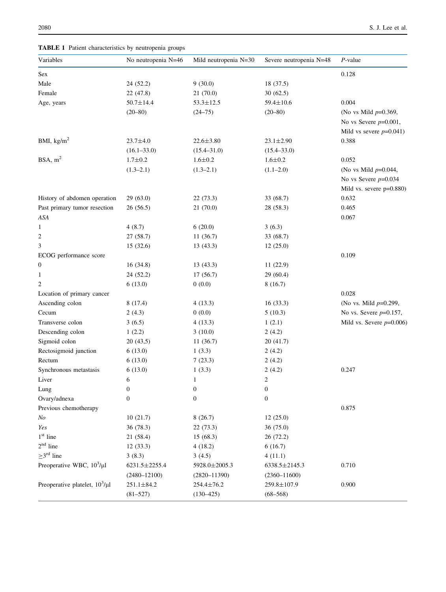<span id="page-3-0"></span>TABLE 1 Patient characteristics by neutropenia groups

| Variables                           | No neutropenia N=46 | Mild neutropenia N=30 | Severe neutropenia N=48 | $P$ -value                  |
|-------------------------------------|---------------------|-----------------------|-------------------------|-----------------------------|
| Sex                                 |                     |                       |                         | 0.128                       |
| Male                                | 24 (52.2)           | 9(30.0)               | 18 (37.5)               |                             |
| Female                              | 22 (47.8)           | 21(70.0)              | 30(62.5)                |                             |
| Age, years                          | $50.7 \pm 14.4$     | $53.3 \pm 12.5$       | 59.4±10.6               | 0.004                       |
|                                     | $(20 - 80)$         | $(24 - 75)$           | $(20 - 80)$             | (No vs Mild $p=0.369$ ,     |
|                                     |                     |                       |                         | No vs Severe $p=0.001$ ,    |
|                                     |                     |                       |                         | Mild vs severe $p=0.041$ )  |
| BMI, $\text{kg/m}^2$                | $23.7 \pm 4.0$      | $22.6 \pm 3.80$       | $23.1 \pm 2.90$         | 0.388                       |
|                                     | $(16.1 - 33.0)$     | $(15.4 - 31.0)$       | $(15.4 - 33.0)$         |                             |
| BSA, $m2$                           | $1.7 + 0.2$         | $1.6 \pm 0.2$         | $1.6 \pm 0.2$           | 0.052                       |
|                                     | $(1.3-2.1)$         | $(1.3-2.1)$           | $(1.1 - 2.0)$           | (No vs Mild $p=0.044$ ,     |
|                                     |                     |                       |                         | No vs Severe $p=0.034$      |
|                                     |                     |                       |                         | Mild vs. severe $p=0.880$ ) |
| History of abdomen operation        | 29(63.0)            | 22 (73.3)             | 33 (68.7)               | 0.632                       |
| Past primary tumor resection        | 26(56.5)            | 21(70.0)              | 28 (58.3)               | 0.465                       |
| ASA                                 |                     |                       |                         | 0.067                       |
| 1                                   | 4(8.7)              | 6(20.0)               | 3(6.3)                  |                             |
| 2                                   | 27(58.7)            | 11(36.7)              | 33 (68.7)               |                             |
| 3                                   | 15 (32.6)           | 13(43.3)              | 12(25.0)                |                             |
| ECOG performance score              |                     |                       |                         | 0.109                       |
| 0                                   | 16(34.8)            | 13 (43.3)             | 11(22.9)                |                             |
| 1                                   | 24 (52.2)           | 17(56.7)              | 29 (60.4)               |                             |
| 2                                   | 6(13.0)             | 0(0.0)                | 8(16.7)                 |                             |
| Location of primary cancer          |                     |                       |                         | 0.028                       |
| Ascending colon                     | 8(17.4)             | 4(13.3)               | 16(33.3)                | (No vs. Mild $p=0.299$ ,    |
| Cecum                               | 2(4.3)              | 0(0.0)                | 5(10.3)                 | No vs. Severe $p=0.157$ ,   |
| Transverse colon                    | 3(6.5)              | 4(13.3)               | 1(2.1)                  | Mild vs. Severe $p=0.006$ ) |
| Descending colon                    | 1(2.2)              | 3(10.0)               | 2(4.2)                  |                             |
| Sigmoid colon                       | 20(43,5)            | 11(36.7)              | 20(41.7)                |                             |
| Rectosigmoid junction               | 6(13.0)             | 1(3.3)                | 2(4.2)                  |                             |
| Rectum                              | 6(13.0)             | 7(23.3)               | 2(4.2)                  |                             |
| Synchronous metastasis              | 6(13.0)             | 1(3.3)                | 2(4.2)                  | 0.247                       |
| Liver                               | 6                   | 1                     | 2                       |                             |
| Lung                                | $\boldsymbol{0}$    | $\boldsymbol{0}$      | $\boldsymbol{0}$        |                             |
| Ovary/adnexa                        | $\boldsymbol{0}$    | $\boldsymbol{0}$      | $\boldsymbol{0}$        |                             |
| Previous chemotherapy               |                     |                       |                         | 0.875                       |
| No                                  | 10(21.7)            | 8(26.7)               | 12(25.0)                |                             |
| Yes                                 | 36 (78.3)           | 22(73.3)              | 36(75.0)                |                             |
| $1st$ line                          | 21 (58.4)           | 15(68.3)              | 26(72.2)                |                             |
| $2nd$ line                          | 12(33.3)            | 4(18.2)               | 6(16.7)                 |                             |
| $\geq$ 3 <sup>rd</sup> line         | 3(8.3)              | 3(4.5)                | 4(11.1)                 |                             |
| Preoperative WBC, $10^3/\mu$ l      | 6231.5±2255.4       | 5928.0±2005.3         | 6338.5±2145.3           | 0.710                       |
|                                     | $(2480 - 12100)$    | $(2820 - 11390)$      | $(2360 - 11600)$        |                             |
| Preoperative platelet, $10^3/\mu$ l | $251.1 \pm 84.2$    | 254.4±76.2            | 259.8±107.9             | 0.900                       |
|                                     | $(81 - 527)$        | $(130 - 425)$         | $(68 - 568)$            |                             |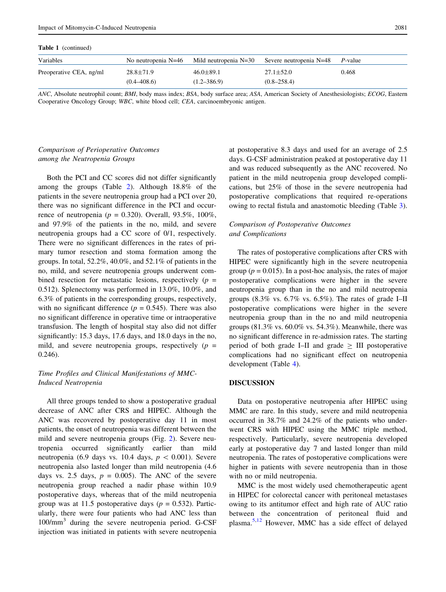Table 1 (continued)

| Variables               |                 |                 | No neutropenia N=46 Mild neutropenia N=30 Severe neutropenia N=48 P-value |       |
|-------------------------|-----------------|-----------------|---------------------------------------------------------------------------|-------|
| Preoperative CEA, ng/ml | $28.8 \pm 71.9$ | $46.0 \pm 89.1$ | $27.1 \pm 52.0$                                                           | 0.468 |
|                         | $(0.4 - 408.6)$ | $(1.2 - 386.9)$ | $(0.8 - 258.4)$                                                           |       |

ANC, Absolute neutrophil count; BMI, body mass index; BSA, body surface area; ASA, American Society of Anesthesiologists; ECOG, Eastern Cooperative Oncology Group; WBC, white blood cell; CEA, carcinoembryonic antigen.

# Comparison of Perioperative Outcomes among the Neutropenia Groups

Both the PCI and CC scores did not differ significantly among the groups (Table [2](#page-5-0)). Although 18.8% of the patients in the severe neutropenia group had a PCI over 20, there was no significant difference in the PCI and occurrence of neutropenia ( $p = 0.320$ ). Overall, 93.5%, 100%, and 97.9% of the patients in the no, mild, and severe neutropenia groups had a CC score of 0/1, respectively. There were no significant differences in the rates of primary tumor resection and stoma formation among the groups. In total, 52.2%, 40.0%, and 52.1% of patients in the no, mild, and severe neutropenia groups underwent combined resection for metastatic lesions, respectively  $(p =$ 0.512). Splenectomy was performed in 13.0%, 10.0%, and 6.3% of patients in the corresponding groups, respectively, with no significant difference ( $p = 0.545$ ). There was also no significant difference in operative time or intraoperative transfusion. The length of hospital stay also did not differ significantly: 15.3 days, 17.6 days, and 18.0 days in the no, mild, and severe neutropenia groups, respectively  $(p =$ 0.246).

# Time Profiles and Clinical Manifestations of MMC-Induced Neutropenia

All three groups tended to show a postoperative gradual decrease of ANC after CRS and HIPEC. Although the ANC was recovered by postoperative day 11 in most patients, the onset of neutropenia was different between the mild and severe neutropenia groups (Fig. [2\)](#page-6-0). Severe neutropenia occurred significantly earlier than mild neutropenia (6.9 days vs. 10.4 days,  $p \, < 0.001$ ). Severe neutropenia also lasted longer than mild neutropenia (4.6 days vs. 2.5 days,  $p = 0.005$ ). The ANC of the severe neutropenia group reached a nadir phase within 10.9 postoperative days, whereas that of the mild neutropenia group was at 11.5 postoperative days ( $p = 0.532$ ). Particularly, there were four patients who had ANC less than 100/mm<sup>3</sup> during the severe neutropenia period. G-CSF injection was initiated in patients with severe neutropenia at postoperative 8.3 days and used for an average of 2.5 days. G-CSF administration peaked at postoperative day 11 and was reduced subsequently as the ANC recovered. No patient in the mild neutropenia group developed complications, but 25% of those in the severe neutropenia had postoperative complications that required re-operations owing to rectal fistula and anastomotic bleeding (Table [3](#page-6-0)).

# Comparison of Postoperative Outcomes and Complications

The rates of postoperative complications after CRS with HIPEC were significantly high in the severe neutropenia group ( $p = 0.015$ ). In a post-hoc analysis, the rates of major postoperative complications were higher in the severe neutropenia group than in the no and mild neutropenia groups  $(8.3\% \text{ vs. } 6.7\% \text{ vs. } 6.5\%)$ . The rates of grade I–II postoperative complications were higher in the severe neutropenia group than in the no and mild neutropenia groups (81.3% vs. 60.0% vs. 54.3%). Meanwhile, there was no significant difference in re-admission rates. The starting period of both grade I–II and grade  $\geq$  III postoperative complications had no significant effect on neutropenia development (Table [4\)](#page-7-0).

## DISCUSSION

Data on postoperative neutropenia after HIPEC using MMC are rare. In this study, severe and mild neutropenia occurred in 38.7% and 24.2% of the patients who underwent CRS with HIPEC using the MMC triple method, respectively. Particularly, severe neutropenia developed early at postoperative day 7 and lasted longer than mild neutropenia. The rates of postoperative complications were higher in patients with severe neutropenia than in those with no or mild neutropenia.

MMC is the most widely used chemotherapeutic agent in HIPEC for colorectal cancer with peritoneal metastases owing to its antitumor effect and high rate of AUC ratio between the concentration of peritoneal fluid and plasma.[5,12](#page-8-0) However, MMC has a side effect of delayed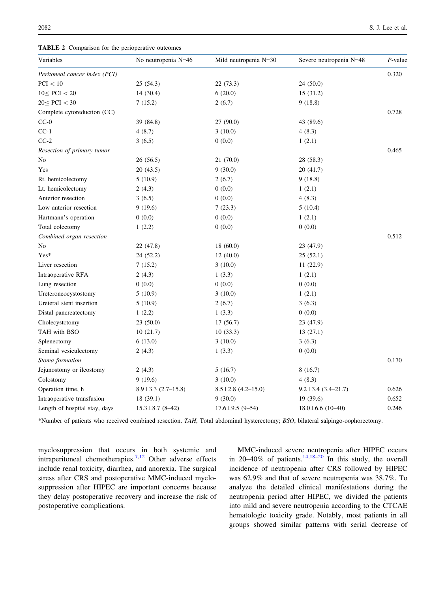<span id="page-5-0"></span>TABLE 2 Comparison for the perioperative outcomes

| Variables                     | No neutropenia N=46      | Mild neutropenia $N=30$  | Severe neutropenia N=48  | $P$ -value |
|-------------------------------|--------------------------|--------------------------|--------------------------|------------|
| Peritoneal cancer index (PCI) |                          |                          |                          | 0.320      |
| PCI < 10                      | 25(54.3)                 | 22 (73.3)                | 24(50.0)                 |            |
| $10 \leq PCI < 20$            | 14 (30.4)                | 6(20.0)                  | 15(31.2)                 |            |
| $20 \le PCI < 30$             | 7(15.2)                  | 2(6.7)                   | 9(18.8)                  |            |
| Complete cytoreduction (CC)   |                          |                          |                          | 0.728      |
| $CC-0$                        | 39 (84.8)                | 27 (90.0)                | 43 (89.6)                |            |
| $CC-1$                        | 4(8.7)                   | 3(10.0)                  | 4(8.3)                   |            |
| $CC-2$                        | 3(6.5)                   | 0(0.0)                   | 1(2.1)                   |            |
| Resection of primary tumor    |                          |                          |                          | 0.465      |
| No                            | 26(56.5)                 | 21 (70.0)                | 28 (58.3)                |            |
| Yes                           | 20 (43.5)                | 9(30.0)                  | 20(41.7)                 |            |
| Rt. hemicolectomy             | 5(10.9)                  | 2(6.7)                   | 9(18.8)                  |            |
| Lt. hemicolectomy             | 2(4.3)                   | 0(0.0)                   | 1(2.1)                   |            |
| Anterior resection            | 3(6.5)                   | 0(0.0)                   | 4(8.3)                   |            |
| Low anterior resection        | 9(19.6)                  | 7(23.3)                  | 5(10.4)                  |            |
| Hartmann's operation          | 0(0.0)                   | 0(0.0)                   | 1(2.1)                   |            |
| Total colectomy               | 1(2.2)                   | 0(0.0)                   | 0(0.0)                   |            |
| Combined organ resection      |                          |                          |                          | 0.512      |
| No                            | 22 (47.8)                | 18(60.0)                 | 23 (47.9)                |            |
| Yes*                          | 24 (52.2)                | 12(40.0)                 | 25(52.1)                 |            |
| Liver resection               | 7(15.2)                  | 3(10.0)                  | 11(22.9)                 |            |
| Intraoperative RFA            | 2(4.3)                   | 1(3.3)                   | 1(2.1)                   |            |
| Lung resection                | 0(0.0)                   | 0(0.0)                   | 0(0.0)                   |            |
| Ureteroneocystostomy          | 5(10.9)                  | 3(10.0)                  | 1(2.1)                   |            |
| Ureteral stent insertion      | 5(10.9)                  | 2(6.7)                   | 3(6.3)                   |            |
| Distal pancreatectomy         | 1(2.2)                   | 1(3.3)                   | 0(0.0)                   |            |
| Cholecystctomy                | 23(50.0)                 | 17(56.7)                 | 23 (47.9)                |            |
| TAH with BSO                  | 10(21.7)                 | 10(33.3)                 | 13(27.1)                 |            |
| Splenectomy                   | 6(13.0)                  | 3(10.0)                  | 3(6.3)                   |            |
| Seminal vesiculectomy         | 2(4.3)                   | 1(3.3)                   | 0(0.0)                   |            |
| Stoma formation               |                          |                          |                          | 0.170      |
| Jejunostomy or ileostomy      | 2(4.3)                   | 5(16.7)                  | 8(16.7)                  |            |
| Colostomy                     | 9(19.6)                  | 3(10.0)                  | 4(8.3)                   |            |
| Operation time, h             | $8.9 \pm 3.3$ (2.7-15.8) | $8.5 \pm 2.8$ (4.2-15.0) | $9.2 \pm 3.4$ (3.4-21.7) | 0.626      |
| Intraoperative transfusion    | 18(39.1)                 | 9(30.0)                  | 19 (39.6)                | 0.652      |
| Length of hospital stay, days | $15.3 \pm 8.7$ (8-42)    | $17.6 \pm 9.5$ (9-54)    | $18.0 \pm 6.6$ (10-40)   | 0.246      |

\*Number of patients who received combined resection. TAH, Total abdominal hysterectomy; BSO, bilateral salpingo-oophorectomy.

myelosuppression that occurs in both systemic and intraperitoneal chemotherapies.[7,12](#page-8-0) Other adverse effects include renal toxicity, diarrhea, and anorexia. The surgical stress after CRS and postoperative MMC-induced myelosuppression after HIPEC are important concerns because they delay postoperative recovery and increase the risk of postoperative complications.

MMC-induced severe neutropenia after HIPEC occurs in 20–40% of patients.<sup>[14,18](#page-8-0)–[20](#page-8-0)</sup> In this study, the overall incidence of neutropenia after CRS followed by HIPEC was 62.9% and that of severe neutropenia was 38.7%. To analyze the detailed clinical manifestations during the neutropenia period after HIPEC, we divided the patients into mild and severe neutropenia according to the CTCAE hematologic toxicity grade. Notably, most patients in all groups showed similar patterns with serial decrease of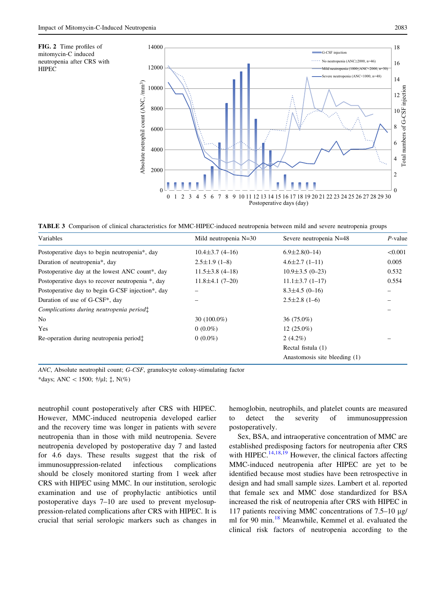<span id="page-6-0"></span>



TABLE 3 Comparison of clinical characteristics for MMC-HIPEC-induced neutropenia between mild and severe neutropenia groups

| Variables                                        | Mild neutropenia $N=30$ | Severe neutropenia N=48       | $P$ -value |
|--------------------------------------------------|-------------------------|-------------------------------|------------|
| Postoperative days to begin neutropenia*, day    | $10.4 \pm 3.7(4 - 16)$  | $6.9 \pm 2.8(0 - 14)$         | < 0.001    |
| Duration of neutropenia*, day                    | $2.5 \pm 1.9$ (1-8)     | $4.6 \pm 2.7(1 - 11)$         | 0.005      |
| Postoperative day at the lowest ANC count*, day  | $11.5 \pm 3.8$ (4-18)   | $10.9 \pm 3.5$ (0-23)         | 0.532      |
| Postoperative days to recover neutropenia *, day | $11.8 \pm 4.1 (7 - 20)$ | $11.1 \pm 3.7$ (1-17)         | 0.554      |
| Postoperative day to begin G-CSF injection*, day |                         | $8.3 \pm 4.5$ (0-16)          |            |
| Duration of use of G-CSF <sup>*</sup> , day      |                         | $2.5 \pm 2.8$ (1-6)           |            |
| Complications during neutropenia period:         |                         |                               |            |
| No                                               | 30 $(100.0\%)$          | $36(75.0\%)$                  |            |
| Yes                                              | $0(0.0\%)$              | $12(25.0\%)$                  |            |
| Re-operation during neutropenia period:          | $0(0.0\%)$              | $2(4.2\%)$                    |            |
|                                                  |                         | Rectal fistula (1)            |            |
|                                                  |                         | Anastomosis site bleeding (1) |            |

ANC, Absolute neutrophil count; G-CSF, granulocyte colony-stimulating factor

\*days; ANC < 1500;  $\frac{1}{l}$ /µl;  $\ddagger$ , N(%)

neutrophil count postoperatively after CRS with HIPEC. However, MMC-induced neutropenia developed earlier and the recovery time was longer in patients with severe neutropenia than in those with mild neutropenia. Severe neutropenia developed by postoperative day 7 and lasted for 4.6 days. These results suggest that the risk of immunosuppression-related infectious complications should be closely monitored starting from 1 week after CRS with HIPEC using MMC. In our institution, serologic examination and use of prophylactic antibiotics until postoperative days 7–10 are used to prevent myelosuppression-related complications after CRS with HIPEC. It is crucial that serial serologic markers such as changes in hemoglobin, neutrophils, and platelet counts are measured to detect the severity of immunosuppression postoperatively.

Sex, BSA, and intraoperative concentration of MMC are established predisposing factors for neutropenia after CRS with HIPEC.  $^{14,18,\overline{19}}$  However, the clinical factors affecting MMC-induced neutropenia after HIPEC are yet to be identified because most studies have been retrospective in design and had small sample sizes. Lambert et al. reported that female sex and MMC dose standardized for BSA increased the risk of neutropenia after CRS with HIPEC in 117 patients receiving MMC concentrations of  $7.5-10 \mu g$ / ml for 90 min.<sup>[18](#page-8-0)</sup> Meanwhile, Kemmel et al. evaluated the clinical risk factors of neutropenia according to the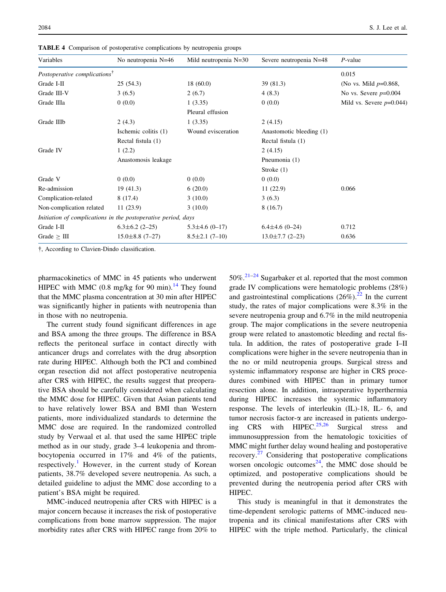| Variables                                                     | No neutropenia N=46   | Mild neutropenia N=30 | Severe neutropenia N=48  | $P$ -value                  |
|---------------------------------------------------------------|-----------------------|-----------------------|--------------------------|-----------------------------|
| Postoperative complications <sup>†</sup>                      |                       |                       |                          | 0.015                       |
| Grade I-II                                                    | 25(54.3)              | 18(60.0)              | 39(81.3)                 | (No vs. Mild $p=0.868$ ,    |
| Grade III-V                                                   | 3(6.5)                | 2(6.7)                | 4(8.3)                   | No vs. Severe $p=0.004$     |
| Grade IIIa                                                    | 0(0.0)                | 1(3.35)               | 0(0.0)                   | Mild vs. Severe $p=0.044$ ) |
|                                                               |                       | Pleural effusion      |                          |                             |
| Grade IIIb                                                    | 2(4.3)                | 1(3.35)               | 2(4.15)                  |                             |
|                                                               | Ischemic colitis (1)  | Wound evisceration    | Anastomotic bleeding (1) |                             |
|                                                               | Rectal fistula (1)    |                       | Rectal fistula (1)       |                             |
| Grade IV                                                      | 1(2.2)                |                       | 2(4.15)                  |                             |
|                                                               | Anastomosis leakage   |                       | Pneumonia (1)            |                             |
|                                                               |                       |                       | Stroke $(1)$             |                             |
| Grade V                                                       | 0(0.0)                | 0(0.0)                | 0(0.0)                   |                             |
| Re-admission                                                  | 19(41.3)              | 6(20.0)               | 11(22.9)                 | 0.066                       |
| Complication-related                                          | 8(17.4)               | 3(10.0)               | 3(6.3)                   |                             |
| Non-complication related                                      | 11(23.9)              | 3(10.0)               | 8(16.7)                  |                             |
| Initiation of complications in the postoperative period, days |                       |                       |                          |                             |
| Grade I-II                                                    | $6.3 \pm 6.2$ (2-25)  | $5.3 \pm 4.6$ (0-17)  | $6.4 \pm 4.6$ (0-24)     | 0.712                       |
| Grade $\geq$ III                                              | $15.0 \pm 8.8$ (7-27) | $8.5 \pm 2.1$ (7-10)  | $13.0 \pm 7.7$ (2-23)    | 0.636                       |

<span id="page-7-0"></span>TABLE 4 Comparison of postoperative complications by neutropenia groups

, According to Clavien-Dindo classification.

pharmacokinetics of MMC in 45 patients who underwent HIPEC with MMC  $(0.8 \text{ mg/kg} \text{ for } 90 \text{ min}).^{14}$  $(0.8 \text{ mg/kg} \text{ for } 90 \text{ min}).^{14}$  $(0.8 \text{ mg/kg} \text{ for } 90 \text{ min}).^{14}$  They found that the MMC plasma concentration at 30 min after HIPEC was significantly higher in patients with neutropenia than in those with no neutropenia.

The current study found significant differences in age and BSA among the three groups. The difference in BSA reflects the peritoneal surface in contact directly with anticancer drugs and correlates with the drug absorption rate during HIPEC. Although both the PCI and combined organ resection did not affect postoperative neutropenia after CRS with HIPEC, the results suggest that preoperative BSA should be carefully considered when calculating the MMC dose for HIPEC. Given that Asian patients tend to have relatively lower BSA and BMI than Western patients, more individualized standards to determine the MMC dose are required. In the randomized controlled study by Verwaal et al. that used the same HIPEC triple method as in our study, grade 3–4 leukopenia and thrombocytopenia occurred in 17% and 4% of the patients, respectively.<sup>[1](#page-8-0)</sup> However, in the current study of Korean patients, 38.7% developed severe neutropenia. As such, a detailed guideline to adjust the MMC dose according to a patient's BSA might be required.

MMC-induced neutropenia after CRS with HIPEC is a major concern because it increases the risk of postoperative complications from bone marrow suppression. The major morbidity rates after CRS with HIPEC range from 20% to

 $50\%$ <sup>[21](#page-8-0)[–24](#page-9-0)</sup> Sugarbaker et al. reported that the most common grade IV complications were hematologic problems (28%) and gastrointestinal complications  $(26\%)$ .<sup>[22](#page-8-0)</sup> In the current study, the rates of major complications were 8.3% in the severe neutropenia group and 6.7% in the mild neutropenia group. The major complications in the severe neutropenia group were related to anastomotic bleeding and rectal fistula. In addition, the rates of postoperative grade I–II complications were higher in the severe neutropenia than in the no or mild neutropenia groups. Surgical stress and systemic inflammatory response are higher in CRS procedures combined with HIPEC than in primary tumor resection alone. In addition, intraoperative hyperthermia during HIPEC increases the systemic inflammatory response. The levels of interleukin (IL)-18, IL- 6, and tumor necrosis factor- $\alpha$  are increased in patients undergo-ing CRS with HIPEC.<sup>[25,26](#page-9-0)</sup> Surgical stress and immunosuppression from the hematologic toxicities of MMC might further delay wound healing and postoperative recovery.[27](#page-9-0) Considering that postoperative complications worsen oncologic outcomes<sup>24</sup>, the MMC dose should be optimized, and postoperative complications should be prevented during the neutropenia period after CRS with HIPEC.

This study is meaningful in that it demonstrates the time-dependent serologic patterns of MMC-induced neutropenia and its clinical manifestations after CRS with HIPEC with the triple method. Particularly, the clinical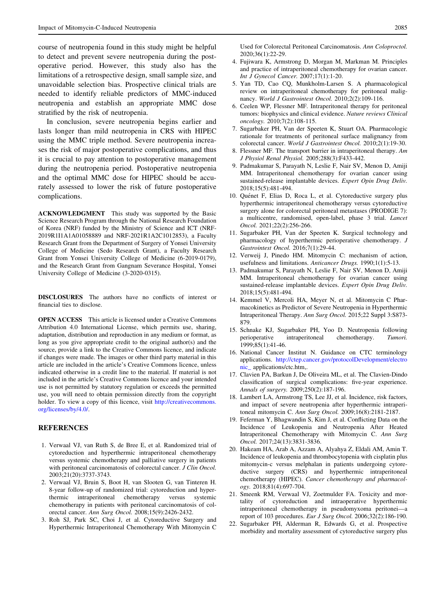<span id="page-8-0"></span>course of neutropenia found in this study might be helpful to detect and prevent severe neutropenia during the postoperative period. However, this study also has the limitations of a retrospective design, small sample size, and unavoidable selection bias. Prospective clinical trials are needed to identify reliable predictors of MMC-induced neutropenia and establish an appropriate MMC dose stratified by the risk of neutropenia.

In conclusion, severe neutropenia begins earlier and lasts longer than mild neutropenia in CRS with HIPEC using the MMC triple method. Severe neutropenia increases the risk of major postoperative complications, and thus it is crucial to pay attention to postoperative management during the neutropenia period. Postoperative neutropenia and the optimal MMC dose for HIPEC should be accurately assessed to lower the risk of future postoperative complications.

ACKNOWLEDGMENT This study was supported by the Basic Science Research Program through the National Research Foundation of Korea (NRF) funded by the Ministry of Science and ICT (NRF-2019R1I1A1A01058889 and NRF-2021R1A2C1012853), a Faculty Research Grant from the Department of Surgery of Yonsei University College of Medicine (Sedo Research Grant), a Faculty Research Grant from Yonsei University College of Medicine (6-2019-0179), and the Research Grant from Gangnam Severance Hospital, Yonsei University College of Medicine (3-2020-0315).

DISCLOSURES The authors have no conflicts of interest or financial ties to disclose.

OPEN ACCESS This article is licensed under a Creative Commons Attribution 4.0 International License, which permits use, sharing, adaptation, distribution and reproduction in any medium or format, as long as you give appropriate credit to the original author(s) and the source, provide a link to the Creative Commons licence, and indicate if changes were made. The images or other third party material in this article are included in the article's Creative Commons licence, unless indicated otherwise in a credit line to the material. If material is not included in the article's Creative Commons licence and your intended use is not permitted by statutory regulation or exceeds the permitted use, you will need to obtain permission directly from the copyright holder. To view a copy of this licence, visit [http://creativecommons.](http://creativecommons.org/licenses/by/4.0/) [org/licenses/by/4.0/.](http://creativecommons.org/licenses/by/4.0/)

#### **REFERENCES**

- 1. Verwaal VJ, van Ruth S, de Bree E, et al. Randomized trial of cytoreduction and hyperthermic intraperitoneal chemotherapy versus systemic chemotherapy and palliative surgery in patients with peritoneal carcinomatosis of colorectal cancer. *J Clin Oncol*. 2003;21(20):3737-3743.
- 2. Verwaal VJ, Bruin S, Boot H, van Slooten G, van Tinteren H. 8-year follow-up of randomized trial: cytoreduction and hyperthermic intraperitoneal chemotherapy versus systemic chemotherapy in patients with peritoneal carcinomatosis of colorectal cancer. Ann Surg Oncol. 2008;15(9):2426-2432.
- 3. Roh SJ, Park SC, Choi J, et al. Cytoreductive Surgery and Hyperthermic Intraperitoneal Chemotherapy With Mitomycin C

Used for Colorectal Peritoneal Carcinomatosis. Ann Coloproctol. 2020;36(1):22-29.

- 4. Fujiwara K, Armstrong D, Morgan M, Markman M. Principles and practice of intraperitoneal chemotherapy for ovarian cancer. Int J Gynecol Cancer. 2007;17(1):1-20.
- 5. Yan TD, Cao CQ, Munkholm-Larsen S. A pharmacological review on intraperitoneal chemotherapy for peritoneal malignancy. World J Gastrointest Oncol. 2010;2(2):109-116.
- 6. Ceelen WP, Flessner MF. Intraperitoneal therapy for peritoneal tumors: biophysics and clinical evidence. Nature reviews Clinical oncology. 2010;7(2):108-115.
- 7. Sugarbaker PH, Van der Speeten K, Stuart OA. Pharmacologic rationale for treatments of peritoneal surface malignancy from colorectal cancer. World J Gastrointest Oncol. 2010;2(1):19-30.
- 8. Flessner MF. The transport barrier in intraperitoneal therapy. Am J Physiol Renal Physiol. 2005;288(3):F433-442.
- 9. Padmakumar S, Parayath N, Leslie F, Nair SV, Menon D, Amiji MM. Intraperitoneal chemotherapy for ovarian cancer using sustained-release implantable devices. Expert Opin Drug Deliv. 2018;15(5):481-494.
- 10. Quénet F, Elias D, Roca L, et al. Cytoreductive surgery plus hyperthermic intraperitoneal chemotherapy versus cytoreductive surgery alone for colorectal peritoneal metastases (PRODIGE 7): a multicentre, randomised, open-label, phase 3 trial. Lancet Oncol. 2021;22(2):256-266.
- 11. Sugarbaker PH, Van der Speeten K. Surgical technology and pharmacology of hyperthermic perioperative chemotherapy. J Gastrointest Oncol. 2016;7(1):29-44.
- 12. Verweij J, Pinedo HM. Mitomycin C: mechanism of action, usefulness and limitations. Anticancer Drugs. 1990;1(1):5-13.
- 13. Padmakumar S, Parayath N, Leslie F, Nair SV, Menon D, Amiji MM. Intraperitoneal chemotherapy for ovarian cancer using sustained-release implantable devices. Expert Opin Drug Deliv. 2018;15(5):481-494.
- 14. Kemmel V, Mercoli HA, Meyer N, et al. Mitomycin C Pharmacokinetics as Predictor of Severe Neutropenia in Hyperthermic Intraperitoneal Therapy. Ann Surg Oncol. 2015;22 Suppl 3:S873- 879.
- 15. Schnake KJ, Sugarbaker PH, Yoo D. Neutropenia following perioperative intraperitoneal chemotherapy. Tumori. 1999;85(1):41-46.
- 16. National Cancer Institut N. Guidance on CTC terminology applications. [http://ctep.cancer.gov/protocolDevelopment/electro](http://ctep.cancer.gov/protocolDevelopment/electronic_) [nic\\_](http://ctep.cancer.gov/protocolDevelopment/electronic_) applications/ctc.htm,.
- 17. Clavien PA, Barkun J, De Oliveira ML, et al. The Clavien-Dindo classification of surgical complications: five-year experience. Annals of surgery. 2009;250(2):187-196.
- 18. Lambert LA, Armstrong TS, Lee JJ, et al. Incidence, risk factors, and impact of severe neutropenia after hyperthermic intraperitoneal mitomycin C. Ann Surg Oncol. 2009;16(8):2181-2187.
- 19. Feferman Y, Bhagwandin S, Kim J, et al. Conflicting Data on the Incidence of Leukopenia and Neutropenia After Heated Intraperitoneal Chemotherapy with Mitomycin C. Ann Surg Oncol. 2017;24(13):3831-3836.
- 20. Hakeam HA, Arab A, Azzam A, Alyahya Z, Eldali AM, Amin T. Incidence of leukopenia and thrombocytopenia with cisplatin plus mitomycin-c versus melphalan in patients undergoing cytoreductive surgery (CRS) and hyperthermic intraperitoneal chemotherapy (HIPEC). Cancer chemotherapy and pharmacology. 2018;81(4):697-704.
- 21. Smeenk RM, Verwaal VJ, Zoetmulder FA. Toxicity and mortality of cytoreduction and intraoperative hyperthermic intraperitoneal chemotherapy in pseudomyxoma peritonei—a report of 103 procedures. Eur J Surg Oncol. 2006;32(2):186-190.
- 22. Sugarbaker PH, Alderman R, Edwards G, et al. Prospective morbidity and mortality assessment of cytoreductive surgery plus